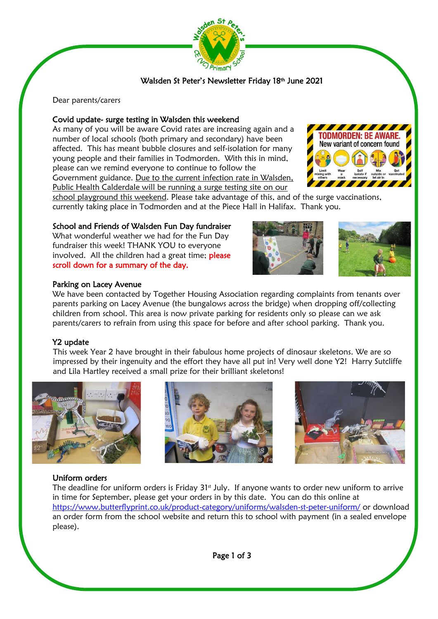

# Walsden St Peter's Newsletter Friday 18th June 2021

Dear parents/carers

## Covid update- surge testing in Walsden this weekend

 please can we remind everyone to continue to follow the As many of you will be aware Covid rates are increasing again and a number of local schools (both primary and secondary) have been affected. This has meant bubble closures and self-isolation for many young people and their families in Todmorden. With this in mind, Government guidance. Due to the current infection rate in Walsden, Public Health Calderdale will be running a surge testing site on our



school playground this weekend. Please take advantage of this, and of the surge vaccinations, currently taking place in Todmorden and at the Piece Hall in Halifax. Thank you.

## School and Friends of Walsden Fun Day fundraiser

What wonderful weather we had for the Fun Day fundraiser this week! THANK YOU to everyone involved. All the children had a great time; **please** scroll down for a summary of the day.

#### Parking on Lacey Avenue

We have been contacted by Together Housing Association regarding complaints from tenants over parents parking on Lacey Avenue (the bungalows across the bridge) when dropping off/collecting children from school. This area is now private parking for residents only so please can we ask parents/carers to refrain from using this space for before and after school parking. Thank you.

#### Y2 update

This week Year 2 have brought in their fabulous home projects of dinosaur skeletons. We are so impressed by their ingenuity and the effort they have all put in! Very well done Y2! Harry Sutcliffe and Lila Hartley received a small prize for their brilliant skeletons!







#### Uniform orders

J ì

The deadline for uniform orders is Friday  $31<sup>st</sup>$  July. If anyone wants to order new uniform to arrive in time for September, please get your orders in by this date. You can do this online at <https://www.butterflyprint.co.uk/product-category/uniforms/walsden-st-peter-uniform/> or download an order form from the school website and return this to school with payment (in a sealed envelope please).

Page 1 of 3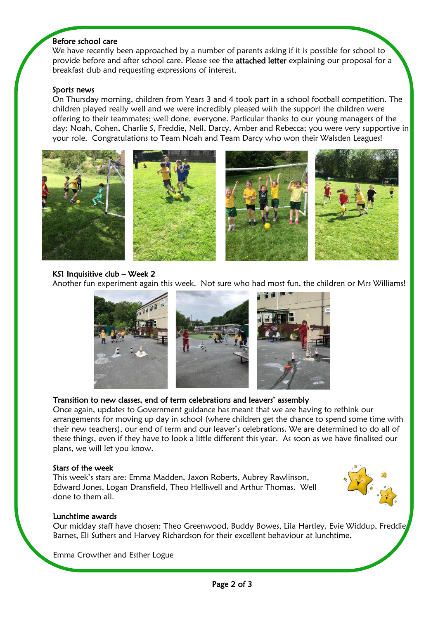#### Before school care

We have recently been approached by a number of parents asking if it is possible for school to provide before and after school care. Please see the **attached letter** explaining our proposal for a breakfast club and requesting expressions of interest.

#### Sports news

í

On Thursday morning, children from Years 3 and 4 took part in a school football competition. The children played really well and we were incredibly pleased with the support the children were offering to their teammates; well done, everyone. Particular thanks to our young managers of the day: Noah, Cohen, Charlie S, Freddie, Nell, Darcy, Amber and Rebecca; you were very supportive in your role. Congratulations to Team Noah and Team Darcy who won their Walsden Leagues!



## KS1 Inquisitive club – Week 2

Another fun experiment again this week. Not sure who had most fun, the children or Mrs Williams!



# Transition to new classes, end of term celebrations and leavers' assembly

Once again, updates to Government guidance has meant that we are having to rethink our arrangements for moving up day in school (where children get the chance to spend some time with their new teachers), our end of term and our leaver's celebrations. We are determined to do all of these things, even if they have to look a little different this year. As soon as we have finalised our plans, we will let you know.

#### Stars of the week

This week's stars are: Emma Madden, Jaxon Roberts, Aubrey Rawlinson, Edward Jones, Logan Dransfield, Theo Helliwell and Arthur Thomas. Well done to them all.



# Lunchtime awards

Our midday staff have chosen: Theo Greenwood, Buddy Bowes, Lila Hartley, Evie Widdup, Freddie Barnes, Eli Suthers and Harvey Richardson for their excellent behaviour at lunchtime.

Emma Crowther and Esther Logue